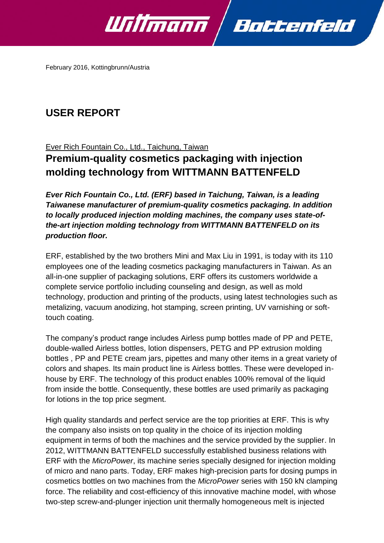

February 2016, Kottingbrunn/Austria

# **USER REPORT**

## Ever Rich Fountain Co., Ltd., Taichung, Taiwan

# **Premium-quality cosmetics packaging with injection molding technology from WITTMANN BATTENFELD**

*Ever Rich Fountain Co., Ltd. (ERF) based in Taichung, Taiwan, is a leading Taiwanese manufacturer of premium-quality cosmetics packaging. In addition to locally produced injection molding machines, the company uses state-ofthe-art injection molding technology from WITTMANN BATTENFELD on its production floor.*

ERF, established by the two brothers Mini and Max Liu in 1991, is today with its 110 employees one of the leading cosmetics packaging manufacturers in Taiwan. As an all-in-one supplier of packaging solutions, ERF offers its customers worldwide a complete service portfolio including counseling and design, as well as mold technology, production and printing of the products, using latest technologies such as metalizing, vacuum anodizing, hot stamping, screen printing, UV varnishing or softtouch coating.

The company's product range includes Airless pump bottles made of PP and PETE, double-walled Airless bottles, lotion dispensers, PETG and PP extrusion molding bottles , PP and PETE cream jars, pipettes and many other items in a great variety of colors and shapes. Its main product line is Airless bottles. These were developed inhouse by ERF. The technology of this product enables 100% removal of the liquid from inside the bottle. Consequently, these bottles are used primarily as packaging for lotions in the top price segment.

High quality standards and perfect service are the top priorities at ERF. This is why the company also insists on top quality in the choice of its injection molding equipment in terms of both the machines and the service provided by the supplier. In 2012, WITTMANN BATTENFELD successfully established business relations with ERF with the *MicroPower*, its machine series specially designed for injection molding of micro and nano parts. Today, ERF makes high-precision parts for dosing pumps in cosmetics bottles on two machines from the *MicroPower* series with 150 kN clamping force. The reliability and cost-efficiency of this innovative machine model, with whose two-step screw-and-plunger injection unit thermally homogeneous melt is injected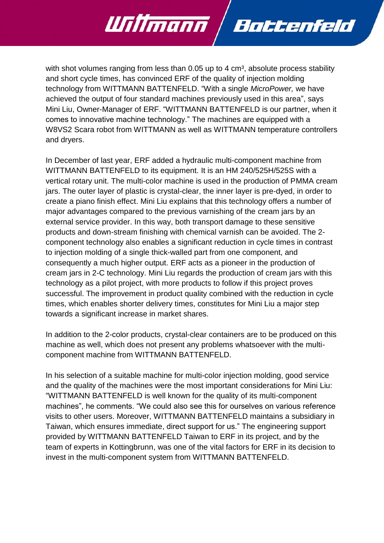with shot volumes ranging from less than  $0.05$  up to 4 cm<sup>3</sup>, absolute process stability and short cycle times, has convinced ERF of the quality of injection molding technology from WITTMANN BATTENFELD. "With a single *MicroPower,* we have achieved the output of four standard machines previously used in this area", says Mini Liu, Owner-Manager of ERF. "WITTMANN BATTENFELD is our partner, when it comes to innovative machine technology." The machines are equipped with a W8VS2 Scara robot from WITTMANN as well as WITTMANN temperature controllers and dryers.

Battenfeld

Willmann

In December of last year, ERF added a hydraulic multi-component machine from WITTMANN BATTENFELD to its equipment. It is an HM 240/525H/525S with a vertical rotary unit. The multi-color machine is used in the production of PMMA cream jars. The outer layer of plastic is crystal-clear, the inner layer is pre-dyed, in order to create a piano finish effect. Mini Liu explains that this technology offers a number of major advantages compared to the previous varnishing of the cream jars by an external service provider. In this way, both transport damage to these sensitive products and down-stream finishing with chemical varnish can be avoided. The 2 component technology also enables a significant reduction in cycle times in contrast to injection molding of a single thick-walled part from one component, and consequently a much higher output. ERF acts as a pioneer in the production of cream jars in 2-C technology. Mini Liu regards the production of cream jars with this technology as a pilot project, with more products to follow if this project proves successful. The improvement in product quality combined with the reduction in cycle times, which enables shorter delivery times, constitutes for Mini Liu a major step towards a significant increase in market shares.

In addition to the 2-color products, crystal-clear containers are to be produced on this machine as well, which does not present any problems whatsoever with the multicomponent machine from WITTMANN BATTENFELD.

In his selection of a suitable machine for multi-color injection molding, good service and the quality of the machines were the most important considerations for Mini Liu: "WITTMANN BATTENFELD is well known for the quality of its multi-component machines", he comments. "We could also see this for ourselves on various reference visits to other users. Moreover, WITTMANN BATTENFELD maintains a subsidiary in Taiwan, which ensures immediate, direct support for us." The engineering support provided by WITTMANN BATTENFELD Taiwan to ERF in its project, and by the team of experts in Kottingbrunn, was one of the vital factors for ERF in its decision to invest in the multi-component system from WITTMANN BATTENFELD.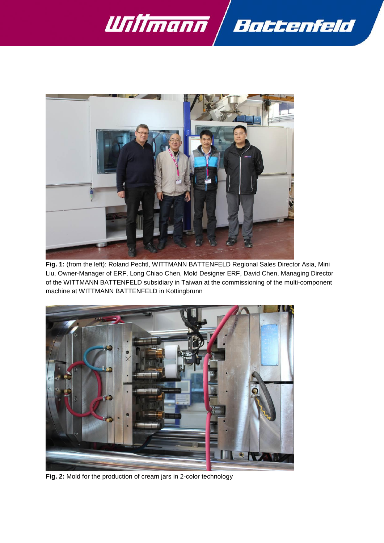



**Fig. 1:** (from the left): Roland Pechtl, WITTMANN BATTENFELD Regional Sales Director Asia, Mini Liu, Owner-Manager of ERF, Long Chiao Chen, Mold Designer ERF, David Chen, Managing Director of the WITTMANN BATTENFELD subsidiary in Taiwan at the commissioning of the multi-component machine at WITTMANN BATTENFELD in Kottingbrunn



**Fig. 2:** Mold for the production of cream jars in 2-color technology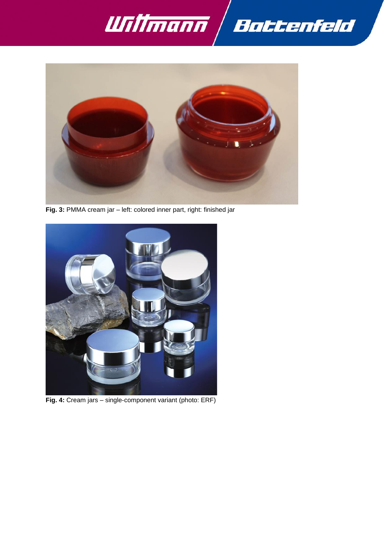



**Fig. 3:** PMMA cream jar – left: colored inner part, right: finished jar



**Fig. 4:** Cream jars – single-component variant (photo: ERF)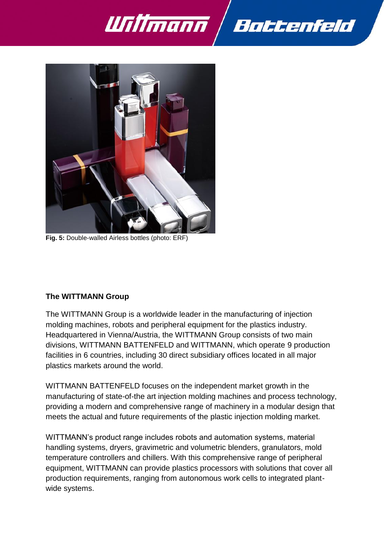



**Fig. 5:** Double-walled Airless bottles (photo: ERF)

#### **The WITTMANN Group**

The WITTMANN Group is a worldwide leader in the manufacturing of injection molding machines, robots and peripheral equipment for the plastics industry. Headquartered in Vienna/Austria, the WITTMANN Group consists of two main divisions, WITTMANN BATTENFELD and WITTMANN, which operate 9 production facilities in 6 countries, including 30 direct subsidiary offices located in all major plastics markets around the world.

WITTMANN BATTENFELD focuses on the independent market growth in the manufacturing of state-of-the art injection molding machines and process technology, providing a modern and comprehensive range of machinery in a modular design that meets the actual and future requirements of the plastic injection molding market.

WITTMANN's product range includes robots and automation systems, material handling systems, dryers, gravimetric and volumetric blenders, granulators, mold temperature controllers and chillers. With this comprehensive range of peripheral equipment, WITTMANN can provide plastics processors with solutions that cover all production requirements, ranging from autonomous work cells to integrated plantwide systems.